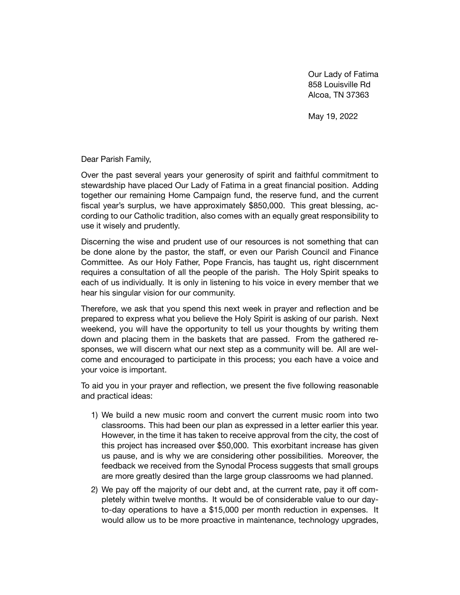Our Lady of Fatima 858 Louisville Rd Alcoa, TN 37363

May 19, 2022

Dear Parish Family,

Over the past several years your generosity of spirit and faithful commitment to stewardship have placed Our Lady of Fatima in a great financial position. Adding together our remaining Home Campaign fund, the reserve fund, and the current fiscal year's surplus, we have approximately \$850,000. This great blessing, according to our Catholic tradition, also comes with an equally great responsibility to use it wisely and prudently.

Discerning the wise and prudent use of our resources is not something that can be done alone by the pastor, the staff, or even our Parish Council and Finance Committee. As our Holy Father, Pope Francis, has taught us, right discernment requires a consultation of all the people of the parish. The Holy Spirit speaks to each of us individually. It is only in listening to his voice in every member that we hear his singular vision for our community.

Therefore, we ask that you spend this next week in prayer and reflection and be prepared to express what you believe the Holy Spirit is asking of our parish. Next weekend, you will have the opportunity to tell us your thoughts by writing them down and placing them in the baskets that are passed. From the gathered responses, we will discern what our next step as a community will be. All are welcome and encouraged to participate in this process; you each have a voice and your voice is important.

To aid you in your prayer and reflection, we present the five following reasonable and practical ideas:

- 1) We build a new music room and convert the current music room into two classrooms. This had been our plan as expressed in a letter earlier this year. However, in the time it has taken to receive approval from the city, the cost of this project has increased over \$50,000. This exorbitant increase has given us pause, and is why we are considering other possibilities. Moreover, the feedback we received from the Synodal Process suggests that small groups are more greatly desired than the large group classrooms we had planned.
- 2) We pay off the majority of our debt and, at the current rate, pay it off completely within twelve months. It would be of considerable value to our dayto-day operations to have a \$15,000 per month reduction in expenses. It would allow us to be more proactive in maintenance, technology upgrades,